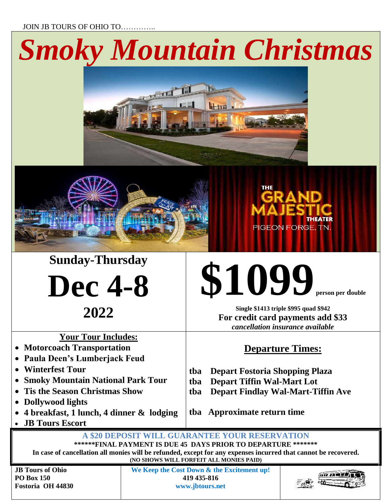JOIN JB TOURS OF OHIO TO…………..

## *Smoky Mountain Christmas*







**Dec 4-8**

**2022**

**Single \$1413 triple \$995 quad \$942 For credit card payments add \$33** *cancellation insurance available*

**\$1099 person per double**

PIGEON FORGE, TN.

**THEATER** 

## **Your Tour Includes:**

- **Motorcoach Transportation**
- **Paula Deen's Lumberjack Feud**
- **Winterfest Tour**
- **Smoky Mountain National Park Tour**
- **Tis the Season Christmas Show**
- **Dollywood lights**
- **4 breakfast, 1 lunch, 4 dinner & lodging**
- **JB Tours Escort**

## **Departure Times:**

- **tba Depart Fostoria Shopping Plaza**
- **tba Depart Tiffin Wal-Mart Lot**
- **tba Depart Findlay Wal-Mart-Tiffin Ave**

**tba Approximate return time**

**A \$20 DEPOSIT WILL GUARANTEE YOUR RESERVATION \*\*\*\*\*\*FINAL PAYMENT IS DUE 45 DAYS PRIOR TO DEPARTURE \*\*\*\*\*\*\***

**In case of cancellation all monies will be refunded, except for any expenses incurred that cannot be recovered. (NO SHOWS WILL FORFEIT ALL MONIES PAID)**

**JB Tours of Ohio PO Box 150 Fostoria OH 44830** **We Keep the Cost Down & the Excitement up! 419 435-816 www.jbtours.net**